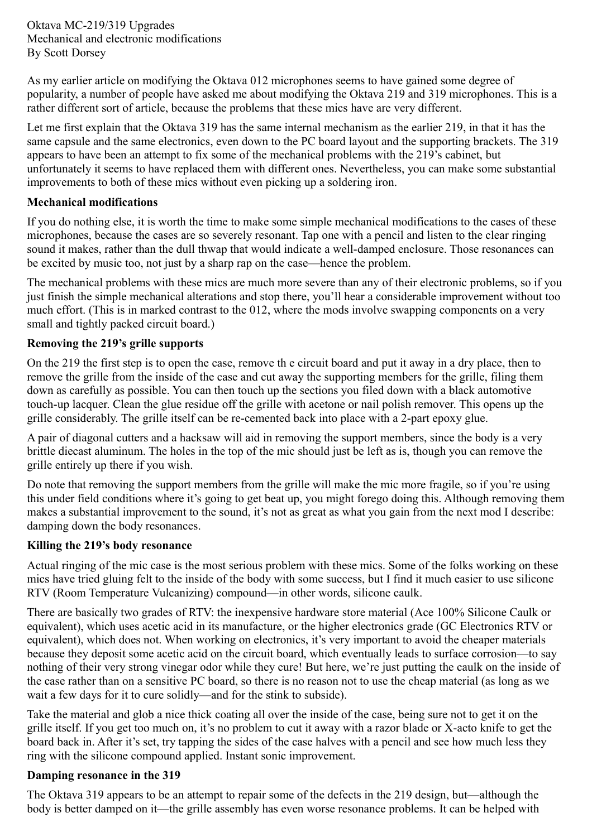Oktava MC-219/319 Upgrades Mechanical and electronic modifications By Scott Dorsey

As my earlier article on modifying the Oktava 012 microphones seems to have gained some degree of popularity, a number of people have asked me about modifying the Oktava 219 and 319 microphones. This is a rather different sort of article, because the problems that these mics have are very different.

Let me first explain that the Oktava 319 has the same internal mechanism as the earlier 219, in that it has the same capsule and the same electronics, even down to the PC board layout and the supporting brackets. The 319 appears to have been an attempt to fix some of the mechanical problems with the 219's cabinet, but unfortunately it seems to have replaced them with different ones. Nevertheless, you can make some substantial improvements to both of these mics without even picking up a soldering iron.

### **Mechanical modifications**

If you do nothing else, it is worth the time to make some simple mechanical modifications to the cases of these microphones, because the cases are so severely resonant. Tap one with a pencil and listen to the clear ringing sound it makes, rather than the dull thwap that would indicate a well-damped enclosure. Those resonances can be excited by music too, not just by a sharp rap on the case—hence the problem.

The mechanical problems with these mics are much more severe than any of their electronic problems, so if you just finish the simple mechanical alterations and stop there, you'll hear a considerable improvement without too much effort. (This is in marked contrast to the 012, where the mods involve swapping components on a very small and tightly packed circuit board.)

## **Removing the 219's grille supports**

On the 219 the first step is to open the case, remove th e circuit board and put it away in a dry place, then to remove the grille from the inside of the case and cut away the supporting members for the grille, filing them down as carefully as possible. You can then touch up the sections you filed down with a black automotive touch-up lacquer. Clean the glue residue off the grille with acetone or nail polish remover. This opens up the grille considerably. The grille itself can be re-cemented back into place with a 2-part epoxy glue.

A pair of diagonal cutters and a hacksaw will aid in removing the support members, since the body is a very brittle diecast aluminum. The holes in the top of the mic should just be left as is, though you can remove the grille entirely up there if you wish.

Do note that removing the support members from the grille will make the mic more fragile, so if you're using this under field conditions where it's going to get beat up, you might forego doing this. Although removing them makes a substantial improvement to the sound, it's not as great as what you gain from the next mod I describe: damping down the body resonances.

### **Killing the 219's body resonance**

Actual ringing of the mic case is the most serious problem with these mics. Some of the folks working on these mics have tried gluing felt to the inside of the body with some success, but I find it much easier to use silicone RTV (Room Temperature Vulcanizing) compound—in other words, silicone caulk.

There are basically two grades of RTV: the inexpensive hardware store material (Ace 100% Silicone Caulk or equivalent), which uses acetic acid in its manufacture, or the higher electronics grade (GC Electronics RTV or equivalent), which does not. When working on electronics, it's very important to avoid the cheaper materials because they deposit some acetic acid on the circuit board, which eventually leads to surface corrosion—to say nothing of their very strong vinegar odor while they cure! But here, we're just putting the caulk on the inside of the case rather than on a sensitive PC board, so there is no reason not to use the cheap material (as long as we wait a few days for it to cure solidly—and for the stink to subside).

Take the material and glob a nice thick coating all over the inside of the case, being sure not to get it on the grille itself. If you get too much on, it's no problem to cut it away with a razor blade or X-acto knife to get the board back in. After it's set, try tapping the sides of the case halves with a pencil and see how much less they ring with the silicone compound applied. Instant sonic improvement.

### **Damping resonance in the 319**

The Oktava 319 appears to be an attempt to repair some of the defects in the 219 design, but—although the body is better damped on it—the grille assembly has even worse resonance problems. It can be helped with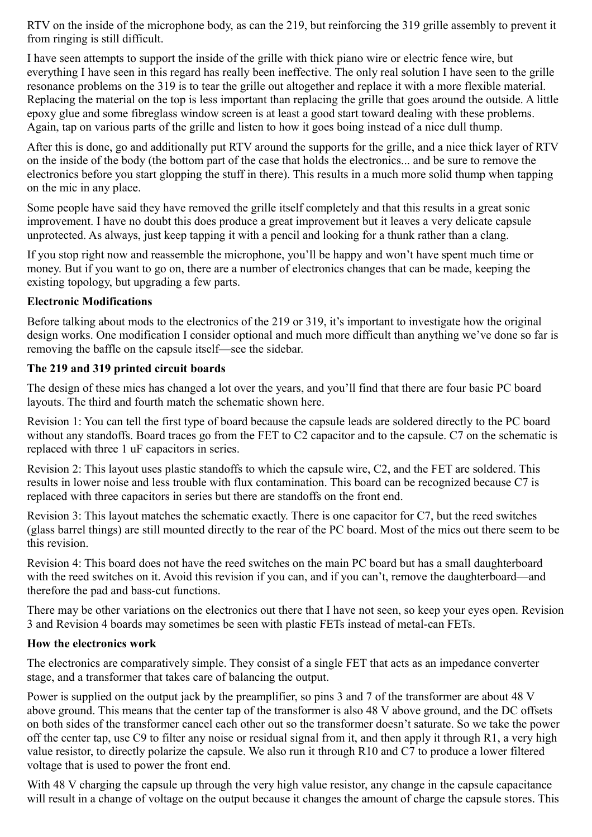RTV on the inside of the microphone body, as can the 219, but reinforcing the 319 grille assembly to prevent it from ringing is still difficult.

I have seen attempts to support the inside of the grille with thick piano wire or electric fence wire, but everything I have seen in this regard has really been ineffective. The only real solution I have seen to the grille resonance problems on the 319 is to tear the grille out altogether and replace it with a more flexible material. Replacing the material on the top is less important than replacing the grille that goes around the outside. A little epoxy glue and some fibreglass window screen is at least a good start toward dealing with these problems. Again, tap on various parts of the grille and listen to how it goes boing instead of a nice dull thump.

After this is done, go and additionally put RTV around the supports for the grille, and a nice thick layer of RTV on the inside of the body (the bottom part of the case that holds the electronics... and be sure to remove the electronics before you start glopping the stuff in there). This results in a much more solid thump when tapping on the mic in any place.

Some people have said they have removed the grille itself completely and that this results in a great sonic improvement. I have no doubt this does produce a great improvement but it leaves a very delicate capsule unprotected. As always, just keep tapping it with a pencil and looking for a thunk rather than a clang.

If you stop right now and reassemble the microphone, you'll be happy and won't have spent much time or money. But if you want to go on, there are a number of electronics changes that can be made, keeping the existing topology, but upgrading a few parts.

## **Electronic Modifications**

Before talking about mods to the electronics of the 219 or 319, it's important to investigate how the original design works. One modification I consider optional and much more difficult than anything we've done so far is removing the baffle on the capsule itself—see the sidebar.

## **The 219 and 319 printed circuit boards**

The design of these mics has changed a lot over the years, and you'll find that there are four basic PC board layouts. The third and fourth match the schematic shown here.

Revision 1: You can tell the first type of board because the capsule leads are soldered directly to the PC board without any standoffs. Board traces go from the FET to C2 capacitor and to the capsule. C7 on the schematic is replaced with three 1 uF capacitors in series.

Revision 2: This layout uses plastic standoffs to which the capsule wire, C2, and the FET are soldered. This results in lower noise and less trouble with flux contamination. This board can be recognized because C7 is replaced with three capacitors in series but there are standoffs on the front end.

Revision 3: This layout matches the schematic exactly. There is one capacitor for C7, but the reed switches (glass barrel things) are still mounted directly to the rear of the PC board. Most of the mics out there seem to be this revision.

Revision 4: This board does not have the reed switches on the main PC board but has a small daughterboard with the reed switches on it. Avoid this revision if you can, and if you can't, remove the daughterboard—and therefore the pad and bass-cut functions.

There may be other variations on the electronics out there that I have not seen, so keep your eyes open. Revision 3 and Revision 4 boards may sometimes be seen with plastic FETs instead of metal-can FETs.

### **How the electronics work**

The electronics are comparatively simple. They consist of a single FET that acts as an impedance converter stage, and a transformer that takes care of balancing the output.

Power is supplied on the output jack by the preamplifier, so pins 3 and 7 of the transformer are about 48 V above ground. This means that the center tap of the transformer is also 48 V above ground, and the DC offsets on both sides of the transformer cancel each other out so the transformer doesn't saturate. So we take the power off the center tap, use C9 to filter any noise or residual signal from it, and then apply it through R1, a very high value resistor, to directly polarize the capsule. We also run it through R10 and C7 to produce a lower filtered voltage that is used to power the front end.

With 48 V charging the capsule up through the very high value resistor, any change in the capsule capacitance will result in a change of voltage on the output because it changes the amount of charge the capsule stores. This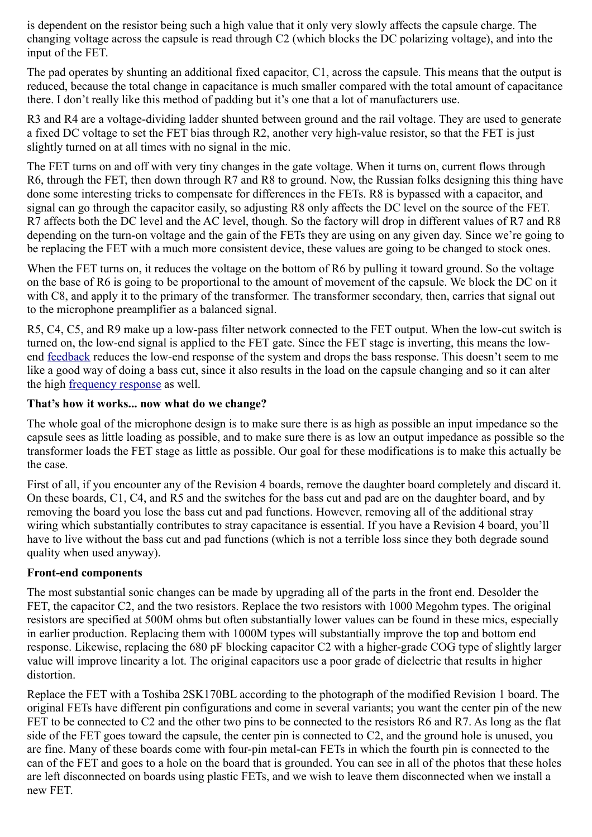is dependent on the resistor being such a high value that it only very slowly affects the capsule charge. The changing voltage across the capsule is read through C2 (which blocks the DC polarizing voltage), and into the input of the FET.

The pad operates by shunting an additional fixed capacitor, C1, across the capsule. This means that the output is reduced, because the total change in capacitance is much smaller compared with the total amount of capacitance there. I don't really like this method of padding but it's one that a lot of manufacturers use.

R3 and R4 are a voltage-dividing ladder shunted between ground and the rail voltage. They are used to generate a fixed DC voltage to set the FET bias through R2, another very high-value resistor, so that the FET is just slightly turned on at all times with no signal in the mic.

The FET turns on and off with very tiny changes in the gate voltage. When it turns on, current flows through R6, through the FET, then down through R7 and R8 to ground. Now, the Russian folks designing this thing have done some interesting tricks to compensate for differences in the FETs. R8 is bypassed with a capacitor, and signal can go through the capacitor easily, so adjusting R8 only affects the DC level on the source of the FET. R7 affects both the DC level and the AC level, though. So the factory will drop in different values of R7 and R8 depending on the turn-on voltage and the gain of the FETs they are using on any given day. Since we're going to be replacing the FET with a much more consistent device, these values are going to be changed to stock ones.

When the FET turns on, it reduces the voltage on the bottom of R6 by pulling it toward ground. So the voltage on the base of R6 is going to be proportional to the amount of movement of the capsule. We block the DC on it with C8, and apply it to the primary of the transformer. The transformer secondary, then, carries that signal out to the microphone preamplifier as a balanced signal.

R5, C4, C5, and R9 make up a low-pass filter network connected to the FET output. When the low-cut switch is turned on, the low-end signal is applied to the FET gate. Since the FET stage is inverting, this means the lowend [feedback](http://www.recordingmag.com/glossary/F/62.html) reduces the low-end response of the system and drops the bass response. This doesn't seem to me like a good way of doing a bass cut, since it also results in the load on the capsule changing and so it can alter the high [frequency response](http://www.recordingmag.com/glossary/F/67.html) as well.

### **That's how it works... now what do we change?**

The whole goal of the microphone design is to make sure there is as high as possible an input impedance so the capsule sees as little loading as possible, and to make sure there is as low an output impedance as possible so the transformer loads the FET stage as little as possible. Our goal for these modifications is to make this actually be the case.

First of all, if you encounter any of the Revision 4 boards, remove the daughter board completely and discard it. On these boards, C1, C4, and R5 and the switches for the bass cut and pad are on the daughter board, and by removing the board you lose the bass cut and pad functions. However, removing all of the additional stray wiring which substantially contributes to stray capacitance is essential. If you have a Revision 4 board, you'll have to live without the bass cut and pad functions (which is not a terrible loss since they both degrade sound quality when used anyway).

# **Front-end components**

The most substantial sonic changes can be made by upgrading all of the parts in the front end. Desolder the FET, the capacitor C2, and the two resistors. Replace the two resistors with 1000 Megohm types. The original resistors are specified at 500M ohms but often substantially lower values can be found in these mics, especially in earlier production. Replacing them with 1000M types will substantially improve the top and bottom end response. Likewise, replacing the 680 pF blocking capacitor C2 with a higher-grade COG type of slightly larger value will improve linearity a lot. The original capacitors use a poor grade of dielectric that results in higher distortion.

Replace the FET with a Toshiba 2SK170BL according to the photograph of the modified Revision 1 board. The original FETs have different pin configurations and come in several variants; you want the center pin of the new FET to be connected to C2 and the other two pins to be connected to the resistors R6 and R7. As long as the flat side of the FET goes toward the capsule, the center pin is connected to C2, and the ground hole is unused, you are fine. Many of these boards come with four-pin metal-can FETs in which the fourth pin is connected to the can of the FET and goes to a hole on the board that is grounded. You can see in all of the photos that these holes are left disconnected on boards using plastic FETs, and we wish to leave them disconnected when we install a new FET.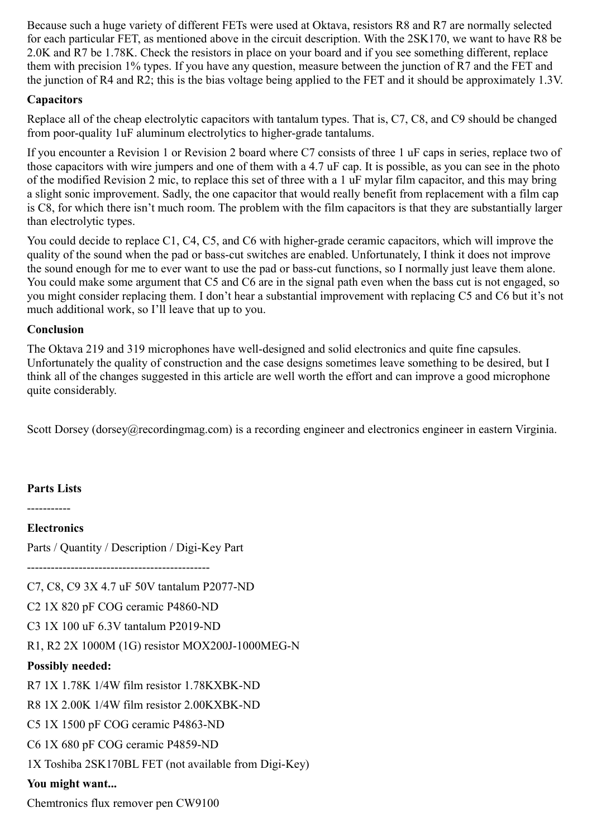Because such a huge variety of different FETs were used at Oktava, resistors R8 and R7 are normally selected for each particular FET, as mentioned above in the circuit description. With the 2SK170, we want to have R8 be 2.0K and R7 be 1.78K. Check the resistors in place on your board and if you see something different, replace them with precision 1% types. If you have any question, measure between the junction of R7 and the FET and the junction of R4 and R2; this is the bias voltage being applied to the FET and it should be approximately 1.3V.

## **Capacitors**

Replace all of the cheap electrolytic capacitors with tantalum types. That is, C7, C8, and C9 should be changed from poor-quality 1uF aluminum electrolytics to higher-grade tantalums.

If you encounter a Revision 1 or Revision 2 board where C7 consists of three 1 uF caps in series, replace two of those capacitors with wire jumpers and one of them with a 4.7 uF cap. It is possible, as you can see in the photo of the modified Revision 2 mic, to replace this set of three with a 1 uF mylar film capacitor, and this may bring a slight sonic improvement. Sadly, the one capacitor that would really benefit from replacement with a film cap is C8, for which there isn't much room. The problem with the film capacitors is that they are substantially larger than electrolytic types.

You could decide to replace C1, C4, C5, and C6 with higher-grade ceramic capacitors, which will improve the quality of the sound when the pad or bass-cut switches are enabled. Unfortunately, I think it does not improve the sound enough for me to ever want to use the pad or bass-cut functions, so I normally just leave them alone. You could make some argument that C5 and C6 are in the signal path even when the bass cut is not engaged, so you might consider replacing them. I don't hear a substantial improvement with replacing C5 and C6 but it's not much additional work, so I'll leave that up to you.

## **Conclusion**

The Oktava 219 and 319 microphones have well-designed and solid electronics and quite fine capsules. Unfortunately the quality of construction and the case designs sometimes leave something to be desired, but I think all of the changes suggested in this article are well worth the effort and can improve a good microphone quite considerably.

Scott Dorsey (dorsey@recordingmag.com) is a recording engineer and electronics engineer in eastern Virginia.

### **Parts Lists**

-----------

**Electronics**

Parts / Quantity / Description / Digi-Key Part

----------------------------------------------

C7, C8, C9 3X 4.7 uF 50V tantalum P2077-ND

C2 1X 820 pF COG ceramic P4860-ND

C3 1X 100 uF 6.3V tantalum P2019-ND

R1, R2 2X 1000M (1G) resistor MOX200J-1000MEG-N

### **Possibly needed:**

R7 1X 1.78K 1/4W film resistor 1.78KXBK-ND

R8 1X 2.00K 1/4W film resistor 2.00KXBK-ND

C5 1X 1500 pF COG ceramic P4863-ND

C6 1X 680 pF COG ceramic P4859-ND

1X Toshiba 2SK170BL FET (not available from Digi-Key)

### **You might want...**

Chemtronics flux remover pen CW9100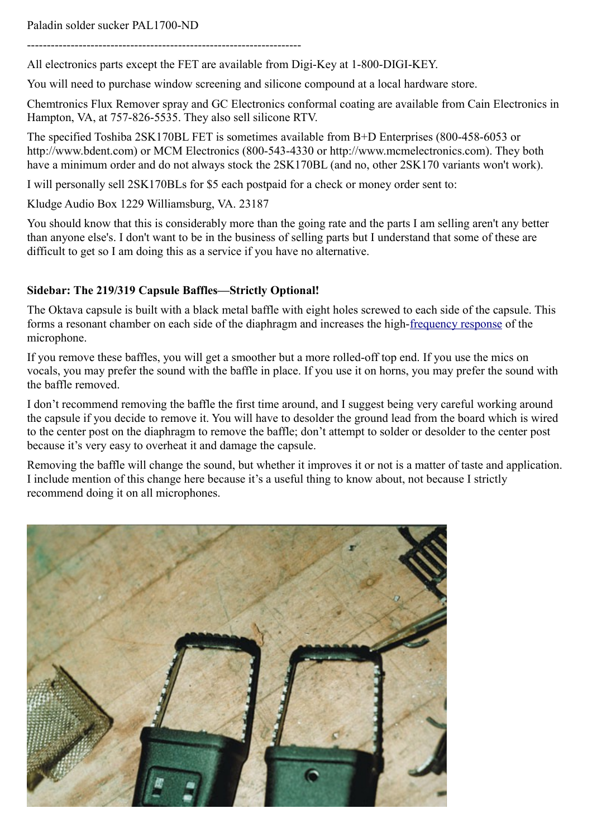Paladin solder sucker PAL1700-ND

---------------------------------------------------------------------

All electronics parts except the FET are available from Digi-Key at 1-800-DIGI-KEY.

You will need to purchase window screening and silicone compound at a local hardware store.

Chemtronics Flux Remover spray and GC Electronics conformal coating are available from Cain Electronics in Hampton, VA, at 757-826-5535. They also sell silicone RTV.

The specified Toshiba 2SK170BL FET is sometimes available from B+D Enterprises (800-458-6053 or http://www.bdent.com) or MCM Electronics (800-543-4330 or http://www.mcmelectronics.com). They both have a minimum order and do not always stock the 2SK170BL (and no, other 2SK170 variants won't work).

I will personally sell 2SK170BLs for \$5 each postpaid for a check or money order sent to:

Kludge Audio Box 1229 Williamsburg, VA. 23187

You should know that this is considerably more than the going rate and the parts I am selling aren't any better than anyone else's. I don't want to be in the business of selling parts but I understand that some of these are difficult to get so I am doing this as a service if you have no alternative.

## **Sidebar: The 219/319 Capsule Baffles—Strictly Optional!**

The Oktava capsule is built with a black metal baffle with eight holes screwed to each side of the capsule. This forms a resonant chamber on each side of the diaphragm and increases the high[-frequency response](http://www.recordingmag.com/glossary/F/67.html) of the microphone.

If you remove these baffles, you will get a smoother but a more rolled-off top end. If you use the mics on vocals, you may prefer the sound with the baffle in place. If you use it on horns, you may prefer the sound with the baffle removed.

I don't recommend removing the baffle the first time around, and I suggest being very careful working around the capsule if you decide to remove it. You will have to desolder the ground lead from the board which is wired to the center post on the diaphragm to remove the baffle; don't attempt to solder or desolder to the center post because it's very easy to overheat it and damage the capsule.

Removing the baffle will change the sound, but whether it improves it or not is a matter of taste and application. I include mention of this change here because it's a useful thing to know about, not because I strictly recommend doing it on all microphones.

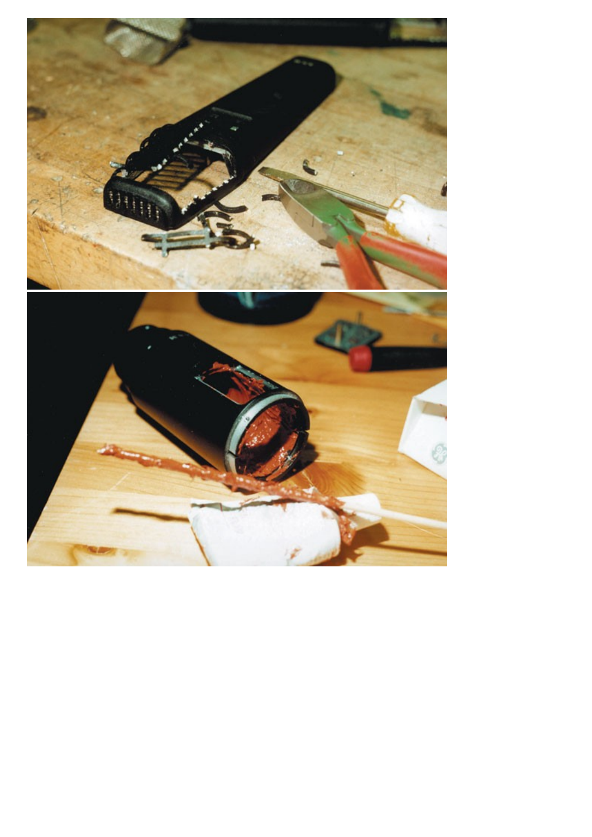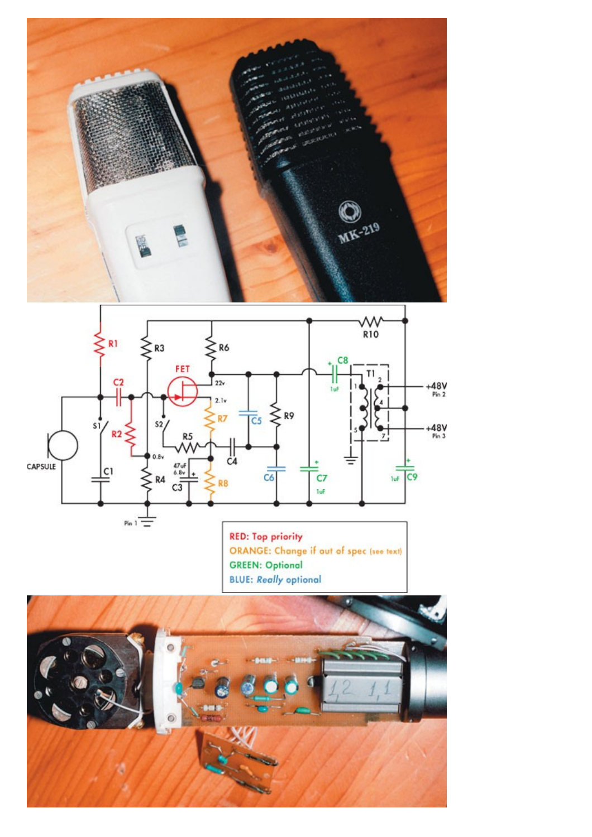



ORANGE: Change if out of spec (see text) **GREEN: Optional BLUE: Really optional**